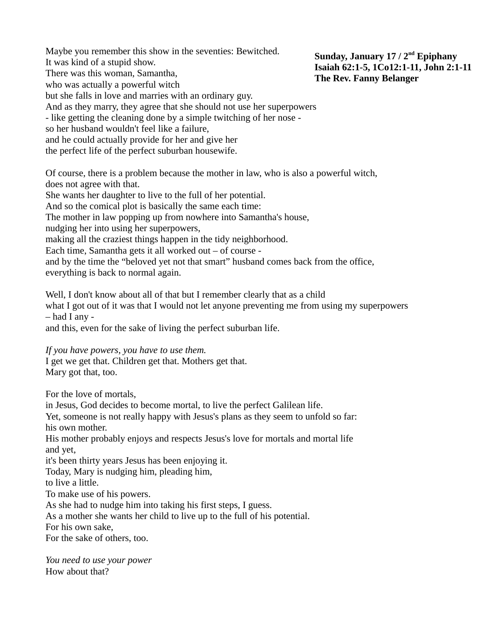Maybe you remember this show in the seventies: Bewitched. It was kind of a stupid show. There was this woman, Samantha, who was actually a powerful witch but she falls in love and marries with an ordinary guy. And as they marry, they agree that she should not use her superpowers - like getting the cleaning done by a simple twitching of her nose so her husband wouldn't feel like a failure, and he could actually provide for her and give her the perfect life of the perfect suburban housewife.

Of course, there is a problem because the mother in law, who is also a powerful witch, does not agree with that.

She wants her daughter to live to the full of her potential.

And so the comical plot is basically the same each time:

The mother in law popping up from nowhere into Samantha's house,

nudging her into using her superpowers,

making all the craziest things happen in the tidy neighborhood.

Each time, Samantha gets it all worked out – of course -

and by the time the "beloved yet not that smart" husband comes back from the office,

everything is back to normal again.

Well, I don't know about all of that but I remember clearly that as a child

what I got out of it was that I would not let anyone preventing me from using my superpowers – had I any -

and this, even for the sake of living the perfect suburban life.

*If you have powers, you have to use them.*

I get we get that. Children get that. Mothers get that.

Mary got that, too.

For the love of mortals,

in Jesus, God decides to become mortal, to live the perfect Galilean life. Yet, someone is not really happy with Jesus's plans as they seem to unfold so far: his own mother. His mother probably enjoys and respects Jesus's love for mortals and mortal life and yet, it's been thirty years Jesus has been enjoying it. Today, Mary is nudging him, pleading him, to live a little. To make use of his powers. As she had to nudge him into taking his first steps, I guess. As a mother she wants her child to live up to the full of his potential.

For his own sake,

For the sake of others, too.

*You need to use your power* How about that?

**Sunday, January 17 / 2nd Epiphany Isaiah 62:1-5, 1Co12:1-11, John 2:1-11 The Rev. Fanny Belanger**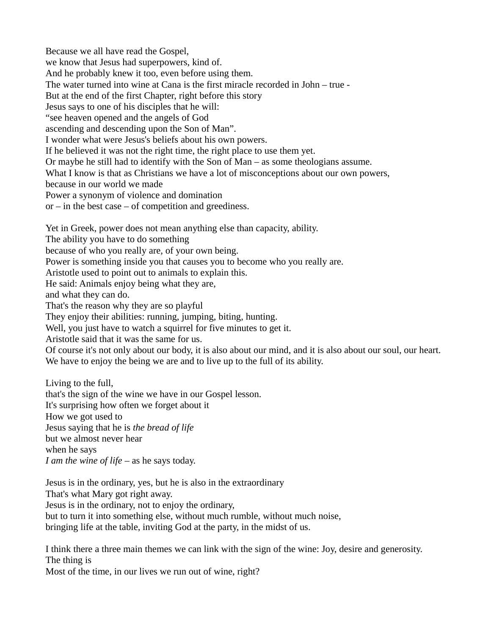Because we all have read the Gospel, we know that Jesus had superpowers, kind of. And he probably knew it too, even before using them. The water turned into wine at Cana is the first miracle recorded in John – true - But at the end of the first Chapter, right before this story Jesus says to one of his disciples that he will: "see heaven opened and the angels of God ascending and descending upon the Son of Man". I wonder what were Jesus's beliefs about his own powers. If he believed it was not the right time, the right place to use them yet. Or maybe he still had to identify with the Son of Man – as some theologians assume. What I know is that as Christians we have a lot of misconceptions about our own powers, because in our world we made Power a synonym of violence and domination  $or$  – in the best case – of competition and greediness. Yet in Greek, power does not mean anything else than capacity, ability. The ability you have to do something

because of who you really are, of your own being.

Power is something inside you that causes you to become who you really are.

Aristotle used to point out to animals to explain this.

He said: Animals enjoy being what they are,

and what they can do.

That's the reason why they are so playful

They enjoy their abilities: running, jumping, biting, hunting.

Well, you just have to watch a squirrel for five minutes to get it.

Aristotle said that it was the same for us.

Of course it's not only about our body, it is also about our mind, and it is also about our soul, our heart. We have to enjoy the being we are and to live up to the full of its ability.

Living to the full, that's the sign of the wine we have in our Gospel lesson. It's surprising how often we forget about it How we got used to Jesus saying that he is *the bread of life* but we almost never hear when he says *I am the wine of life* – as he says today.

Jesus is in the ordinary, yes, but he is also in the extraordinary That's what Mary got right away. Jesus is in the ordinary, not to enjoy the ordinary, but to turn it into something else, without much rumble, without much noise, bringing life at the table, inviting God at the party, in the midst of us.

I think there a three main themes we can link with the sign of the wine: Joy, desire and generosity. The thing is

Most of the time, in our lives we run out of wine, right?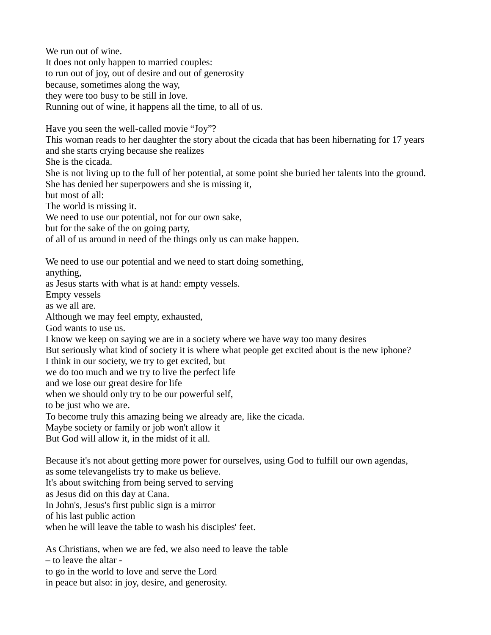We run out of wine. It does not only happen to married couples: to run out of joy, out of desire and out of generosity because, sometimes along the way, they were too busy to be still in love. Running out of wine, it happens all the time, to all of us.

Have you seen the well-called movie "Joy"?

This woman reads to her daughter the story about the cicada that has been hibernating for 17 years and she starts crying because she realizes

She is the cicada.

She is not living up to the full of her potential, at some point she buried her talents into the ground. She has denied her superpowers and she is missing it,

but most of all:

The world is missing it.

We need to use our potential, not for our own sake,

but for the sake of the on going party,

of all of us around in need of the things only us can make happen.

We need to use our potential and we need to start doing something,

anything,

as Jesus starts with what is at hand: empty vessels.

Empty vessels

as we all are.

Although we may feel empty, exhausted,

God wants to use us.

I know we keep on saying we are in a society where we have way too many desires

But seriously what kind of society it is where what people get excited about is the new iphone?

I think in our society, we try to get excited, but

we do too much and we try to live the perfect life

and we lose our great desire for life

when we should only try to be our powerful self,

to be just who we are.

To become truly this amazing being we already are, like the cicada.

Maybe society or family or job won't allow it

But God will allow it, in the midst of it all.

Because it's not about getting more power for ourselves, using God to fulfill our own agendas,

as some televangelists try to make us believe.

It's about switching from being served to serving

as Jesus did on this day at Cana.

In John's, Jesus's first public sign is a mirror

of his last public action

when he will leave the table to wash his disciples' feet.

As Christians, when we are fed, we also need to leave the table – to leave the altar to go in the world to love and serve the Lord

in peace but also: in joy, desire, and generosity.